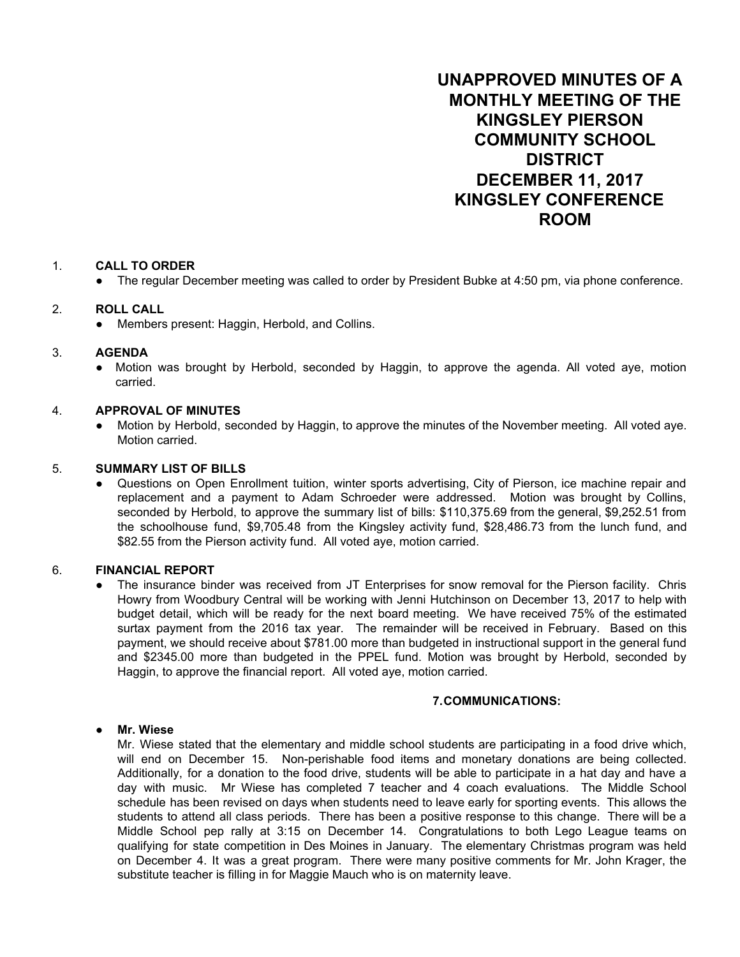**UNAPPROVED MINUTES OF A MONTHLY MEETING OF THE KINGSLEY PIERSON COMMUNITY SCHOOL DISTRICT DECEMBER 11, 2017 KINGSLEY CONFERENCE ROOM**

### 1. **CALL TO ORDER**

● The regular December meeting was called to order by President Bubke at 4:50 pm, via phone conference.

### 2. **ROLL CALL**

• Members present: Haggin, Herbold, and Collins.

## 3. **AGENDA**

Motion was brought by Herbold, seconded by Haggin, to approve the agenda. All voted aye, motion carried.

### 4. **APPROVAL OF MINUTES**

Motion by Herbold, seconded by Haggin, to approve the minutes of the November meeting. All voted aye. Motion carried.

### 5. **SUMMARY LIST OF BILLS**

Questions on Open Enrollment tuition, winter sports advertising, City of Pierson, ice machine repair and replacement and a payment to Adam Schroeder were addressed. Motion was brought by Collins, seconded by Herbold, to approve the summary list of bills: \$110,375.69 from the general, \$9,252.51 from the schoolhouse fund, \$9,705.48 from the Kingsley activity fund, \$28,486.73 from the lunch fund, and \$82.55 from the Pierson activity fund. All voted aye, motion carried.

#### 6. **FINANCIAL REPORT**

The insurance binder was received from JT Enterprises for snow removal for the Pierson facility. Chris Howry from Woodbury Central will be working with Jenni Hutchinson on December 13, 2017 to help with budget detail, which will be ready for the next board meeting. We have received 75% of the estimated surtax payment from the 2016 tax year. The remainder will be received in February. Based on this payment, we should receive about \$781.00 more than budgeted in instructional support in the general fund and \$2345.00 more than budgeted in the PPEL fund. Motion was brought by Herbold, seconded by Haggin, to approve the financial report. All voted aye, motion carried.

## **7.COMMUNICATIONS:**

#### ● **Mr. Wiese**

Mr. Wiese stated that the elementary and middle school students are participating in a food drive which, will end on December 15. Non-perishable food items and monetary donations are being collected. Additionally, for a donation to the food drive, students will be able to participate in a hat day and have a day with music. Mr Wiese has completed 7 teacher and 4 coach evaluations. The Middle School schedule has been revised on days when students need to leave early for sporting events. This allows the students to attend all class periods. There has been a positive response to this change. There will be a Middle School pep rally at 3:15 on December 14. Congratulations to both Lego League teams on qualifying for state competition in Des Moines in January. The elementary Christmas program was held on December 4. It was a great program. There were many positive comments for Mr. John Krager, the substitute teacher is filling in for Maggie Mauch who is on maternity leave.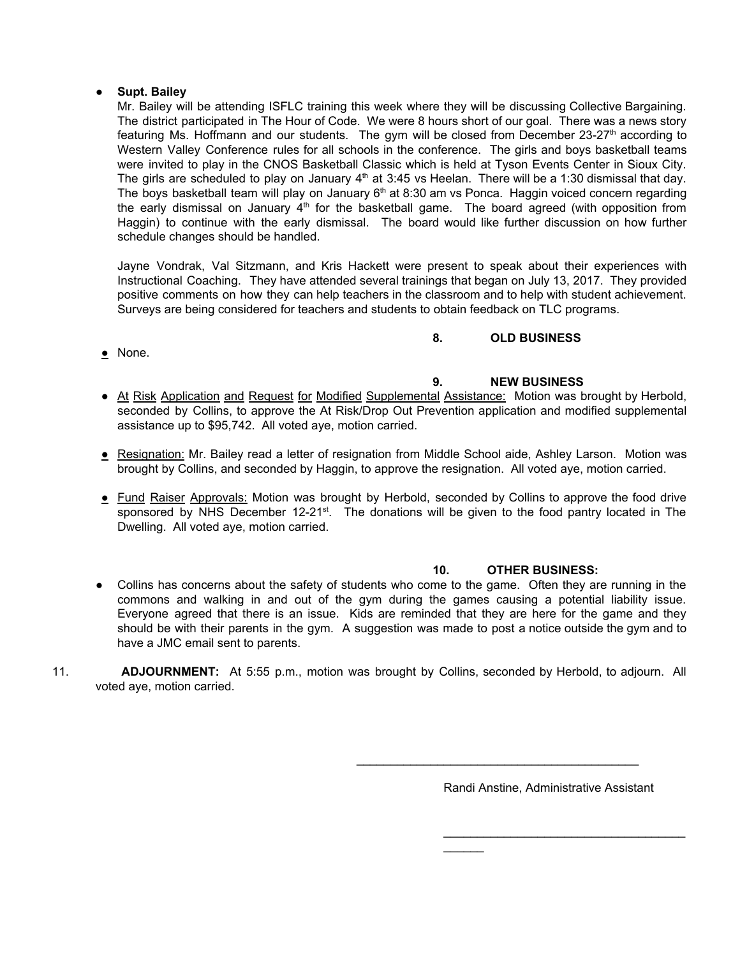### ● **Supt. Bailey**

Mr. Bailey will be attending ISFLC training this week where they will be discussing Collective Bargaining. The district participated in The Hour of Code. We were 8 hours short of our goal. There was a news story featuring Ms. Hoffmann and our students. The gym will be closed from December 23-27<sup>th</sup> according to Western Valley Conference rules for all schools in the conference. The girls and boys basketball teams were invited to play in the CNOS Basketball Classic which is held at Tyson Events Center in Sioux City. The girls are scheduled to play on January  $4<sup>th</sup>$  at 3:45 vs Heelan. There will be a 1:30 dismissal that day. The boys basketball team will play on January 6<sup>th</sup> at 8:30 am vs Ponca. Haggin voiced concern regarding the early dismissal on January  $4<sup>th</sup>$  for the basketball game. The board agreed (with opposition from Haggin) to continue with the early dismissal. The board would like further discussion on how further schedule changes should be handled.

Jayne Vondrak, Val Sitzmann, and Kris Hackett were present to speak about their experiences with Instructional Coaching. They have attended several trainings that began on July 13, 2017. They provided positive comments on how they can help teachers in the classroom and to help with student achievement. Surveys are being considered for teachers and students to obtain feedback on TLC programs.

# **8. OLD BUSINESS**

• None.

# **9. NEW BUSINESS**

- At Risk Application and Request for Modified Supplemental Assistance: Motion was brought by Herbold, seconded by Collins, to approve the At Risk/Drop Out Prevention application and modified supplemental assistance up to \$95,742. All voted aye, motion carried.
- Resignation: Mr. Bailey read a letter of resignation from Middle School aide, Ashley Larson. Motion was brought by Collins, and seconded by Haggin, to approve the resignation. All voted aye, motion carried.
- Fund Raiser Approvals: Motion was brought by Herbold, seconded by Collins to approve the food drive sponsored by NHS December 12-21<sup>st</sup>. The donations will be given to the food pantry located in The Dwelling. All voted aye, motion carried.

# **10. OTHER BUSINESS:**

- Collins has concerns about the safety of students who come to the game. Often they are running in the commons and walking in and out of the gym during the games causing a potential liability issue. Everyone agreed that there is an issue. Kids are reminded that they are here for the game and they should be with their parents in the gym. A suggestion was made to post a notice outside the gym and to have a JMC email sent to parents.
- 11. **ADJOURNMENT:** At 5:55 p.m., motion was brought by Collins, seconded by Herbold, to adjourn. All voted aye, motion carried.

Randi Anstine, Administrative Assistant

\_\_\_\_\_\_\_\_\_\_\_\_\_\_\_\_\_\_\_\_\_\_\_\_\_\_\_\_\_\_\_\_\_\_\_\_

 $\_$ 

 $\overline{\phantom{a}}$